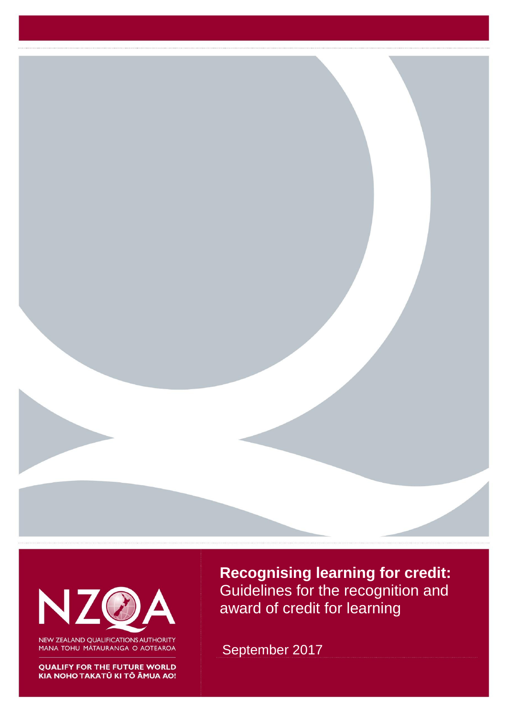



NEW ZEALAND QUALIFICATIONS AUTHORITY MANA TOHU MĀTAURANGA O AOTEAROA

**QUALIFY FOR THE FUTURE WORLD** KIA NOHO TAKATŪ KI TŌ ĀMUA AO! **Recognising learning for credit:**  Guidelines for the recognition and award of credit for learning

September 2017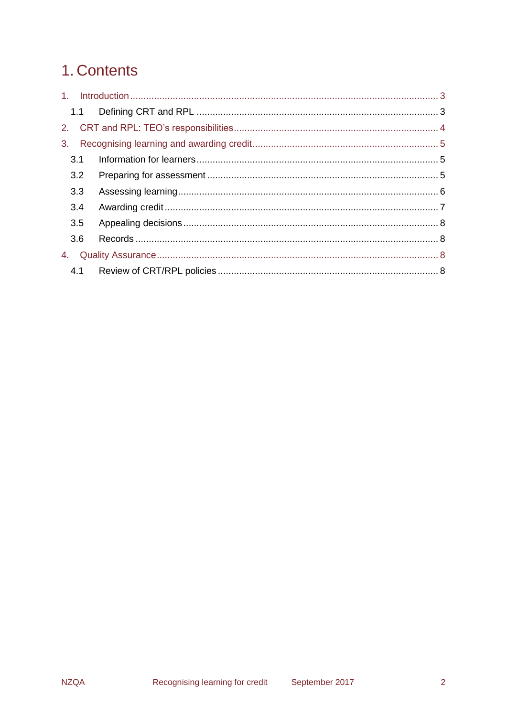# 1. Contents

| 3 <sub>1</sub> |     |  |
|----------------|-----|--|
|                | 3.1 |  |
|                | 3.2 |  |
|                | 3.3 |  |
|                | 3.4 |  |
|                | 3.5 |  |
|                | 3.6 |  |
| 4.             |     |  |
|                |     |  |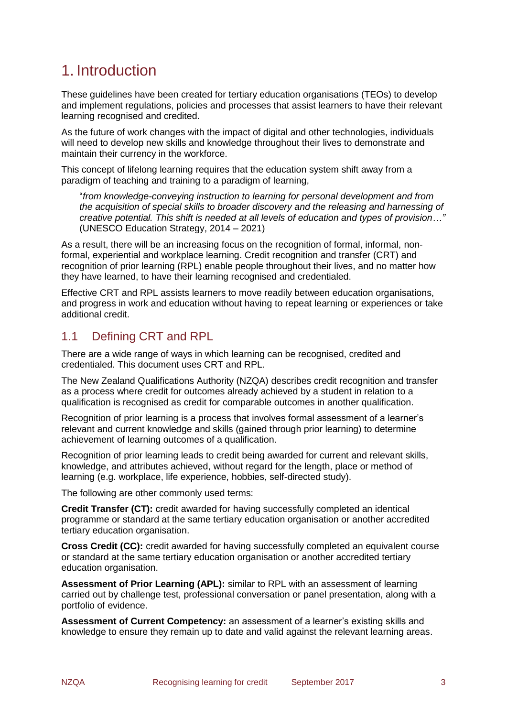# <span id="page-3-0"></span>1. Introduction

These guidelines have been created for tertiary education organisations (TEOs) to develop and implement regulations, policies and processes that assist learners to have their relevant learning recognised and credited.

As the future of work changes with the impact of digital and other technologies, individuals will need to develop new skills and knowledge throughout their lives to demonstrate and maintain their currency in the workforce.

This concept of lifelong learning requires that the education system shift away from a paradigm of teaching and training to a paradigm of learning,

"*from knowledge-conveying instruction to learning for personal development and from the acquisition of special skills to broader discovery and the releasing and harnessing of creative potential. This shift is needed at all levels of education and types of provision…"* (UNESCO Education Strategy, 2014 – 2021)

As a result, there will be an increasing focus on the recognition of formal, informal, nonformal, experiential and workplace learning. Credit recognition and transfer (CRT) and recognition of prior learning (RPL) enable people throughout their lives, and no matter how they have learned, to have their learning recognised and credentialed.

Effective CRT and RPL assists learners to move readily between education organisations, and progress in work and education without having to repeat learning or experiences or take additional credit.

## <span id="page-3-1"></span>1.1 Defining CRT and RPL

There are a wide range of ways in which learning can be recognised, credited and credentialed. This document uses CRT and RPL.

The New Zealand Qualifications Authority (NZQA) describes credit recognition and transfer as a process where credit for outcomes already achieved by a student in relation to a qualification is recognised as credit for comparable outcomes in another qualification.

Recognition of prior learning is a process that involves formal assessment of a learner's relevant and current knowledge and skills (gained through prior learning) to determine achievement of learning outcomes of a qualification.

Recognition of prior learning leads to credit being awarded for current and relevant skills, knowledge, and attributes achieved, without regard for the length, place or method of learning (e.g. workplace, life experience, hobbies, self-directed study).

The following are other commonly used terms:

**Credit Transfer (CT):** credit awarded for having successfully completed an identical programme or standard at the same tertiary education organisation or another accredited tertiary education organisation.

**Cross Credit (CC):** credit awarded for having successfully completed an equivalent course or standard at the same tertiary education organisation or another accredited tertiary education organisation.

**Assessment of Prior Learning (APL):** similar to RPL with an assessment of learning carried out by challenge test, professional conversation or panel presentation, along with a portfolio of evidence.

**Assessment of Current Competency:** an assessment of a learner's existing skills and knowledge to ensure they remain up to date and valid against the relevant learning areas.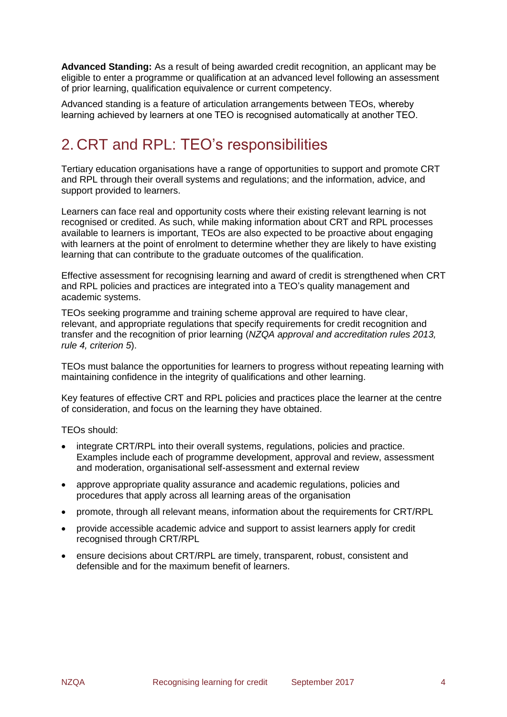**Advanced Standing:** As a result of being awarded credit recognition, an applicant may be eligible to enter a programme or qualification at an advanced level following an assessment of prior learning, qualification equivalence or current competency.

Advanced standing is a feature of articulation arrangements between TEOs, whereby learning achieved by learners at one TEO is recognised automatically at another TEO.

# <span id="page-4-0"></span>2. CRT and RPL: TEO's responsibilities

Tertiary education organisations have a range of opportunities to support and promote CRT and RPL through their overall systems and regulations; and the information, advice, and support provided to learners.

Learners can face real and opportunity costs where their existing relevant learning is not recognised or credited. As such, while making information about CRT and RPL processes available to learners is important, TEOs are also expected to be proactive about engaging with learners at the point of enrolment to determine whether they are likely to have existing learning that can contribute to the graduate outcomes of the qualification.

Effective assessment for recognising learning and award of credit is strengthened when CRT and RPL policies and practices are integrated into a TEO's quality management and academic systems.

TEOs seeking programme and training scheme approval are required to have clear, relevant, and appropriate regulations that specify requirements for credit recognition and transfer and the recognition of prior learning (*NZQA approval and accreditation rules 2013, rule 4, criterion 5*).

TEOs must balance the opportunities for learners to progress without repeating learning with maintaining confidence in the integrity of qualifications and other learning.

Key features of effective CRT and RPL policies and practices place the learner at the centre of consideration, and focus on the learning they have obtained.

TEOs should:

- integrate CRT/RPL into their overall systems, regulations, policies and practice. Examples include each of programme development, approval and review, assessment and moderation, organisational self-assessment and external review
- approve appropriate quality assurance and academic regulations, policies and procedures that apply across all learning areas of the organisation
- promote, through all relevant means, information about the requirements for CRT/RPL
- provide accessible academic advice and support to assist learners apply for credit recognised through CRT/RPL
- ensure decisions about CRT/RPL are timely, transparent, robust, consistent and defensible and for the maximum benefit of learners.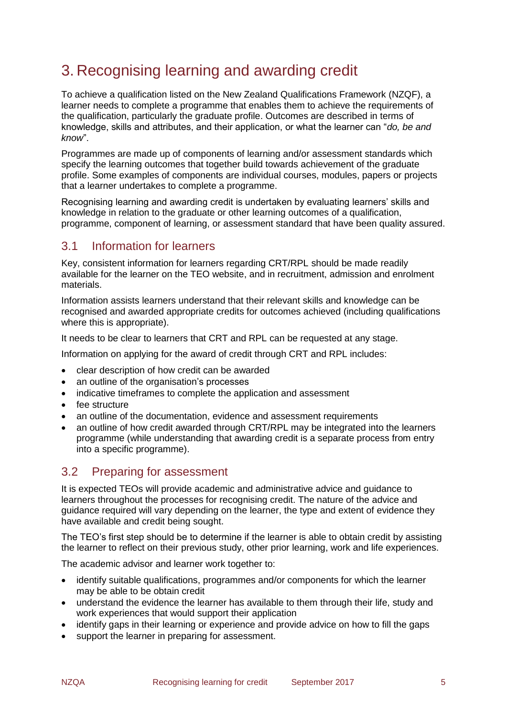# <span id="page-5-0"></span>3. Recognising learning and awarding credit

To achieve a qualification listed on the New Zealand Qualifications Framework (NZQF), a learner needs to complete a programme that enables them to achieve the requirements of the qualification, particularly the graduate profile. Outcomes are described in terms of knowledge, skills and attributes, and their application, or what the learner can "*do, be and know*".

Programmes are made up of components of learning and/or assessment standards which specify the learning outcomes that together build towards achievement of the graduate profile. Some examples of components are individual courses, modules, papers or projects that a learner undertakes to complete a programme.

Recognising learning and awarding credit is undertaken by evaluating learners' skills and knowledge in relation to the graduate or other learning outcomes of a qualification, programme, component of learning, or assessment standard that have been quality assured.

## <span id="page-5-1"></span>3.1 Information for learners

Key, consistent information for learners regarding CRT/RPL should be made readily available for the learner on the TEO website, and in recruitment, admission and enrolment materials.

Information assists learners understand that their relevant skills and knowledge can be recognised and awarded appropriate credits for outcomes achieved (including qualifications where this is appropriate).

It needs to be clear to learners that CRT and RPL can be requested at any stage.

Information on applying for the award of credit through CRT and RPL includes:

- clear description of how credit can be awarded
- an outline of the organisation's processes
- indicative timeframes to complete the application and assessment
- fee structure
- an outline of the documentation, evidence and assessment requirements
- an outline of how credit awarded through CRT/RPL may be integrated into the learners programme (while understanding that awarding credit is a separate process from entry into a specific programme).

### <span id="page-5-2"></span>3.2 Preparing for assessment

It is expected TEOs will provide academic and administrative advice and guidance to learners throughout the processes for recognising credit. The nature of the advice and guidance required will vary depending on the learner, the type and extent of evidence they have available and credit being sought.

The TEO's first step should be to determine if the learner is able to obtain credit by assisting the learner to reflect on their previous study, other prior learning, work and life experiences.

The academic advisor and learner work together to:

- identify suitable qualifications, programmes and/or components for which the learner may be able to be obtain credit
- understand the evidence the learner has available to them through their life, study and work experiences that would support their application
- identify gaps in their learning or experience and provide advice on how to fill the gaps
- support the learner in preparing for assessment.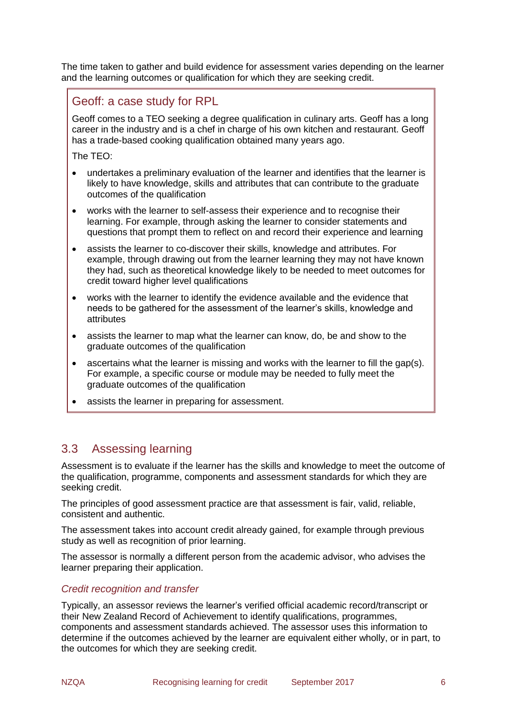The time taken to gather and build evidence for assessment varies depending on the learner and the learning outcomes or qualification for which they are seeking credit.

## Geoff: a case study for RPL

Geoff comes to a TEO seeking a degree qualification in culinary arts. Geoff has a long career in the industry and is a chef in charge of his own kitchen and restaurant. Geoff has a trade-based cooking qualification obtained many years ago.

The TEO:

- undertakes a preliminary evaluation of the learner and identifies that the learner is likely to have knowledge, skills and attributes that can contribute to the graduate outcomes of the qualification
- works with the learner to self-assess their experience and to recognise their learning. For example, through asking the learner to consider statements and questions that prompt them to reflect on and record their experience and learning
- assists the learner to co-discover their skills, knowledge and attributes. For example, through drawing out from the learner learning they may not have known they had, such as theoretical knowledge likely to be needed to meet outcomes for credit toward higher level qualifications
- works with the learner to identify the evidence available and the evidence that needs to be gathered for the assessment of the learner's skills, knowledge and attributes
- assists the learner to map what the learner can know, do, be and show to the graduate outcomes of the qualification
- ascertains what the learner is missing and works with the learner to fill the gap(s). For example, a specific course or module may be needed to fully meet the graduate outcomes of the qualification
- assists the learner in preparing for assessment.

### <span id="page-6-0"></span>3.3 Assessing learning

Assessment is to evaluate if the learner has the skills and knowledge to meet the outcome of the qualification, programme, components and assessment standards for which they are seeking credit.

The principles of good assessment practice are that assessment is fair, valid, reliable, consistent and authentic.

The assessment takes into account credit already gained, for example through previous study as well as recognition of prior learning.

The assessor is normally a different person from the academic advisor, who advises the learner preparing their application.

#### *Credit recognition and transfer*

Typically, an assessor reviews the learner's verified official academic record/transcript or their New Zealand Record of Achievement to identify qualifications, programmes, components and assessment standards achieved. The assessor uses this information to determine if the outcomes achieved by the learner are equivalent either wholly, or in part, to the outcomes for which they are seeking credit.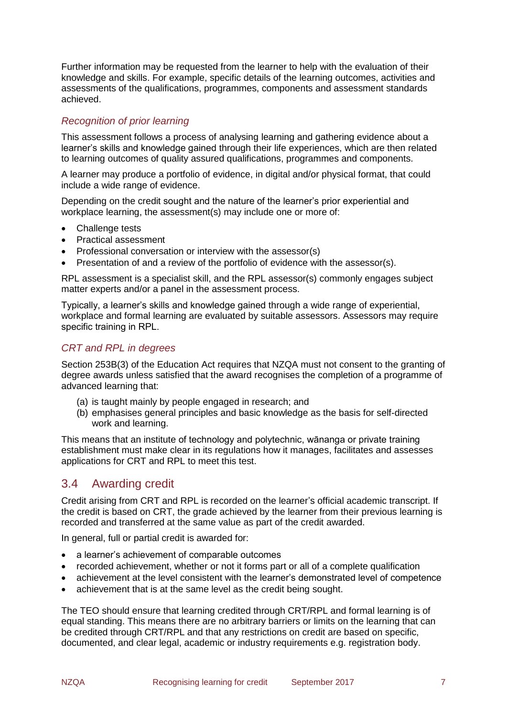Further information may be requested from the learner to help with the evaluation of their knowledge and skills. For example, specific details of the learning outcomes, activities and assessments of the qualifications, programmes, components and assessment standards achieved.

#### *Recognition of prior learning*

This assessment follows a process of analysing learning and gathering evidence about a learner's skills and knowledge gained through their life experiences, which are then related to learning outcomes of quality assured qualifications, programmes and components.

A learner may produce a portfolio of evidence, in digital and/or physical format, that could include a wide range of evidence.

Depending on the credit sought and the nature of the learner's prior experiential and workplace learning, the assessment(s) may include one or more of:

- Challenge tests
- Practical assessment
- Professional conversation or interview with the assessor(s)
- Presentation of and a review of the portfolio of evidence with the assessor(s).

RPL assessment is a specialist skill, and the RPL assessor(s) commonly engages subject matter experts and/or a panel in the assessment process.

Typically, a learner's skills and knowledge gained through a wide range of experiential, workplace and formal learning are evaluated by suitable assessors. Assessors may require specific training in RPL.

#### *CRT and RPL in degrees*

Section 253B(3) of the Education Act requires that NZQA must not consent to the granting of degree awards unless satisfied that the award recognises the completion of a programme of advanced learning that:

- (a) is taught mainly by people engaged in research; and
- (b) emphasises general principles and basic knowledge as the basis for self-directed work and learning.

This means that an institute of technology and polytechnic, wānanga or private training establishment must make clear in its regulations how it manages, facilitates and assesses applications for CRT and RPL to meet this test.

### <span id="page-7-0"></span>3.4 Awarding credit

Credit arising from CRT and RPL is recorded on the learner's official academic transcript. If the credit is based on CRT, the grade achieved by the learner from their previous learning is recorded and transferred at the same value as part of the credit awarded.

In general, full or partial credit is awarded for:

- a learner's achievement of comparable outcomes
- recorded achievement, whether or not it forms part or all of a complete qualification
- achievement at the level consistent with the learner's demonstrated level of competence
- achievement that is at the same level as the credit being sought.

The TEO should ensure that learning credited through CRT/RPL and formal learning is of equal standing. This means there are no arbitrary barriers or limits on the learning that can be credited through CRT/RPL and that any restrictions on credit are based on specific, documented, and clear legal, academic or industry requirements e.g. registration body.